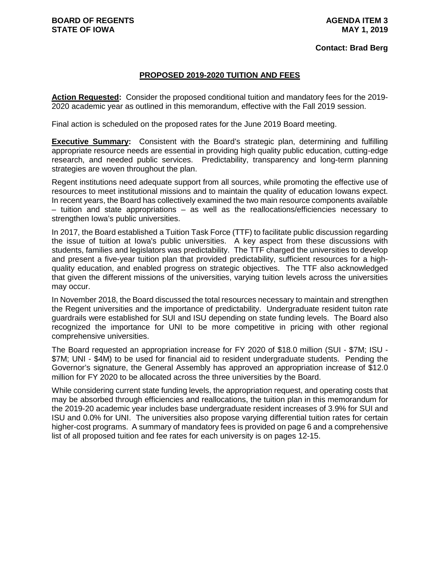#### **PROPOSED 2019-2020 TUITION AND FEES**

**Action Requested:** Consider the proposed conditional tuition and mandatory fees for the 2019- 2020 academic year as outlined in this memorandum, effective with the Fall 2019 session.

Final action is scheduled on the proposed rates for the June 2019 Board meeting.

**Executive Summary:** Consistent with the Board's strategic plan, determining and fulfilling appropriate resource needs are essential in providing high quality public education, cutting-edge research, and needed public services. Predictability, transparency and long-term planning strategies are woven throughout the plan.

Regent institutions need adequate support from all sources, while promoting the effective use of resources to meet institutional missions and to maintain the quality of education Iowans expect. In recent years, the Board has collectively examined the two main resource components available – tuition and state appropriations – as well as the reallocations/efficiencies necessary to strengthen Iowa's public universities.

In 2017, the Board established a Tuition Task Force (TTF) to facilitate public discussion regarding the issue of tuition at Iowa's public universities. A key aspect from these discussions with students, families and legislators was predictability. The TTF charged the universities to develop and present a five-year tuition plan that provided predictability, sufficient resources for a highquality education, and enabled progress on strategic objectives. The TTF also acknowledged that given the different missions of the universities, varying tuition levels across the universities may occur.

In November 2018, the Board discussed the total resources necessary to maintain and strengthen the Regent universities and the importance of predictability. Undergraduate resident tuiton rate guardrails were established for SUI and ISU depending on state funding levels. The Board also recognized the importance for UNI to be more competitive in pricing with other regional comprehensive universities.

The Board requested an appropriation increase for FY 2020 of \$18.0 million (SUI - \$7M; ISU - \$7M; UNI - \$4M) to be used for financial aid to resident undergraduate students. Pending the Governor's signature, the General Assembly has approved an appropriation increase of \$12.0 million for FY 2020 to be allocated across the three universities by the Board.

While considering current state funding levels, the appropriation request, and operating costs that may be absorbed through efficiencies and reallocations, the tuition plan in this memorandum for the 2019-20 academic year includes base undergraduate resident increases of 3.9% for SUI and ISU and 0.0% for UNI. The universities also propose varying differential tuition rates for certain higher-cost programs. A summary of mandatory fees is provided on page 6 and a comprehensive list of all proposed tuition and fee rates for each university is on pages 12-15.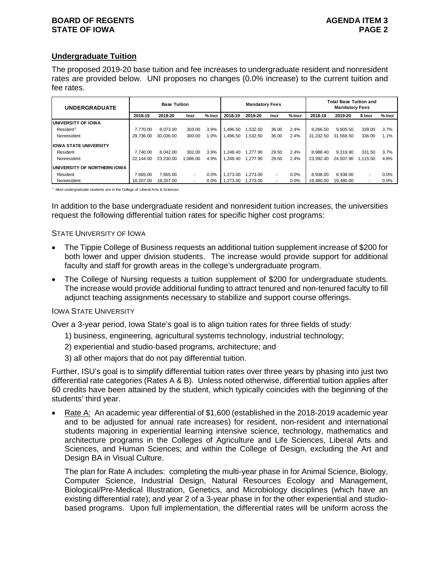#### **BOARD OF REGENTS AGENUS AGENDA ITEM 3 STATE OF IOWA PAGE 2**

# **Undergraduate Tuition**

The proposed 2019-20 base tuition and fee increases to undergraduate resident and nonresident rates are provided below. UNI proposes no changes (0.0% increase) to the current tuition and fee rates.

| <b>UNDERGRADUATE</b>          |           | <b>Base Tuition</b> |                          |          |          | <b>Mandatory Fees</b> |                          |          | <b>Total Base Tuition and</b><br><b>Mandatory Fees</b> |           |                          |          |  |  |
|-------------------------------|-----------|---------------------|--------------------------|----------|----------|-----------------------|--------------------------|----------|--------------------------------------------------------|-----------|--------------------------|----------|--|--|
|                               | 2018-19   | 2019-20             | Incr                     | $%$ Incr | 2018-19  | 2019-20               | Incr                     | $%$ Incr | 2018-19                                                | 2019-20   | \$ Incr                  | $%$ Incr |  |  |
| UNIVERSITY OF IOWA            |           |                     |                          |          |          |                       |                          |          |                                                        |           |                          |          |  |  |
| Resident <sup>1</sup>         | 7.770.00  | 8.073.00            | 303.00                   | 3.9%     | 1.496.50 | .532.50               | 36.00                    | 2.4%     | 9.266.50                                               | 9.605.50  | 339.00                   | 3.7%     |  |  |
| Nonresident                   | 29.736.00 | 30.036.00           | 300.00                   | $1.0\%$  | 1.496.50 | .532.50               | 36.00                    | 2.4%     | 31.232.50                                              | 31.568.50 | 336.00                   | 1.1%     |  |  |
| <b>IIOWA STATE UNIVERSITY</b> |           |                     |                          |          |          |                       |                          |          |                                                        |           |                          |          |  |  |
| Resident                      | 7.740.00  | 8.042.00            | 302.00                   | 3.9%     | 1.248.40 | .277.90               | 29.50                    | 2.4%     | 8.988.40                                               | 9.319.90  | 331.50                   | 3.7%     |  |  |
| Nonresident                   | 22.144.00 | 23.230.00           | 1.086.00                 | 4.9%     | .248.40  | .277.90               | 29.50                    | 2.4%     | 23.392.40                                              | 24.507.90 | 1.115.50                 | 4.8%     |  |  |
| UNIVERSITY OF NORTHERN IOWA   |           |                     |                          |          |          |                       |                          |          |                                                        |           |                          |          |  |  |
| Resident                      | 7.665.00  | 7.665.00            | $\overline{\phantom{a}}$ | 0.0%     | .273.00  | .273.00               | $\overline{\phantom{a}}$ | 0.0%     | 8.938.00                                               | 8.938.00  | $\overline{\phantom{a}}$ | 0.0%     |  |  |
| Nonresident                   | 18.207.00 | 18.207.00           |                          | $0.0\%$  | .273.00  | .273.00               | $\overline{\phantom{a}}$ | 0.0%     | 19.480.00                                              | 19.480.00 |                          | 0.0%     |  |  |

1 Most undergraduate students are in the College of Liberal Arts & Sciences

In addition to the base undergraduate resident and nonresident tuition increases, the universities request the following differential tuition rates for specific higher cost programs:

#### STATE UNIVERSITY OF IOWA

- The Tippie College of Business requests an additional tuition supplement increase of \$200 for both lower and upper division students. The increase would provide support for additional faculty and staff for growth areas in the college's undergraduate program.
- The College of Nursing requests a tuition supplement of \$200 for undergraduate students. The increase would provide additional funding to attract tenured and non-tenured faculty to fill adjunct teaching assignments necessary to stabilize and support course offerings.

#### IOWA STATE UNIVERSITY

Over a 3-year period, Iowa State's goal is to align tuition rates for three fields of study:

- 1) business, engineering, agricultural systems technology, industrial technology;
- 2) experiential and studio-based programs, architecture; and
- 3) all other majors that do not pay differential tuition.

Further, ISU's goal is to simplify differential tuition rates over three years by phasing into just two differential rate categories (Rates A & B). Unless noted otherwise, differential tuition applies after 60 credits have been attained by the student, which typically coincides with the beginning of the students' third year.

• Rate A: An academic year differential of \$1,600 (established in the 2018-2019 academic year and to be adjusted for annual rate increases) for resident, non-resident and international students majoring in experiential learning intensive science, technology, mathematics and architecture programs in the Colleges of Agriculture and Life Sciences, Liberal Arts and Sciences, and Human Sciences; and within the College of Design, excluding the Art and Design BA in Visual Culture.

The plan for Rate A includes: completing the multi-year phase in for Animal Science, Biology, Computer Science, Industrial Design, Natural Resources Ecology and Management, Biological/Pre-Medical Illustration, Genetics, and Microbiology disciplines (which have an existing differential rate); and year 2 of a 3-year phase in for the other experiential and studiobased programs. Upon full implementation, the differential rates will be uniform across the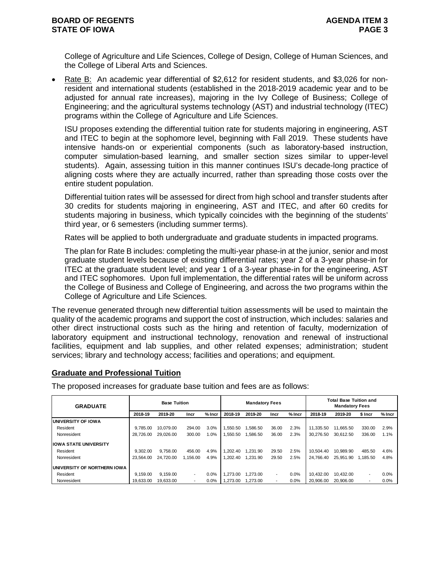College of Agriculture and Life Sciences, College of Design, College of Human Sciences, and the College of Liberal Arts and Sciences.

• Rate B: An academic year differential of \$2,612 for resident students, and \$3,026 for nonresident and international students (established in the 2018-2019 academic year and to be adjusted for annual rate increases), majoring in the Ivy College of Business; College of Engineering; and the agricultural systems technology (AST) and industrial technology (ITEC) programs within the College of Agriculture and Life Sciences.

ISU proposes extending the differential tuition rate for students majoring in engineering, AST and ITEC to begin at the sophomore level, beginning with Fall 2019. These students have intensive hands-on or experiential components (such as laboratory-based instruction, computer simulation-based learning, and smaller section sizes similar to upper-level students). Again, assessing tuition in this manner continues ISU's decade-long practice of aligning costs where they are actually incurred, rather than spreading those costs over the entire student population.

Differential tuition rates will be assessed for direct from high school and transfer students after 30 credits for students majoring in engineering, AST and ITEC, and after 60 credits for students majoring in business, which typically coincides with the beginning of the students' third year, or 6 semesters (including summer terms).

Rates will be applied to both undergraduate and graduate students in impacted programs.

The plan for Rate B includes: completing the multi-year phase-in at the junior, senior and most graduate student levels because of existing differential rates; year 2 of a 3-year phase-in for ITEC at the graduate student level; and year 1 of a 3-year phase-in for the engineering, AST and ITEC sophomores. Upon full implementation, the differential rates will be uniform across the College of Business and College of Engineering, and across the two programs within the College of Agriculture and Life Sciences.

The revenue generated through new differential tuition assessments will be used to maintain the quality of the academic programs and support the cost of instruction, which includes: salaries and other direct instructional costs such as the hiring and retention of faculty, modernization of laboratory equipment and instructional technology, renovation and renewal of instructional facilities, equipment and lab supplies, and other related expenses; administration; student services; library and technology access; facilities and operations; and equipment.

# **Graduate and Professional Tuition**

The proposed increases for graduate base tuition and fees are as follows:

| <b>GRADUATE</b>                     |           | <b>Base Tuition</b> |                          |          |          | <b>Mandatory Fees</b> |                          |          | <b>Total Base Tuition and</b><br><b>Mandatory Fees</b> |           |                          |          |  |  |
|-------------------------------------|-----------|---------------------|--------------------------|----------|----------|-----------------------|--------------------------|----------|--------------------------------------------------------|-----------|--------------------------|----------|--|--|
|                                     | 2018-19   | 2019-20             | Incr                     | $%$ Incr | 2018-19  | 2019-20               | Incr                     | $%$ Incr | 2018-19                                                | 2019-20   | \$ Incr                  | $%$ Incr |  |  |
| UNIVERSITY OF IOWA                  |           |                     |                          |          |          |                       |                          |          |                                                        |           |                          |          |  |  |
| Resident                            | 9.785.00  | 10.079.00           | 294.00                   | 3.0%     | 1.550.50 | .586.50               | 36.00                    | 2.3%     | 11.335.50                                              | 11.665.50 | 330.00                   | 2.9%     |  |  |
| Nonresident                         | 28.726.00 | 29.026.00           | 300.00                   | $1.0\%$  | .550.50  | .586.50               | 36.00                    | 2.3%     | 30.276.50                                              | 30.612.50 | 336.00                   | 1.1%     |  |  |
| <b>IIOWA STATE UNIVERSITY</b>       |           |                     |                          |          |          |                       |                          |          |                                                        |           |                          |          |  |  |
| Resident                            | 9.302.00  | 9.758.00            | 456.00                   | 4.9%     | 1.202.40 | 1.231.90              | 29.50                    | 2.5%     | 10.504.40                                              | 10.989.90 | 485.50                   | 4.6%     |  |  |
| Nonresident                         | 23.564.00 | 24.720.00           | 1.156.00                 | 4.9%     | .202.40  | 1.231.90              | 29.50                    | 2.5%     | 24.766.40                                              | 25.951.90 | 1.185.50                 | 4.8%     |  |  |
| <b>IUNIVERSITY OF NORTHERN IOWA</b> |           |                     |                          |          |          |                       |                          |          |                                                        |           |                          |          |  |  |
| Resident                            | 9.159.00  | 9.159.00            | $\overline{\phantom{a}}$ | 0.0%     | 1.273.00 | 1.273.00              | $\overline{\phantom{a}}$ | 0.0%     | 10.432.00                                              | 10.432.00 | $\overline{\phantom{a}}$ | 0.0%     |  |  |
| Nonresident                         | 19.633.00 | 19.633.00           |                          | 0.0%     | 1,273.00 | 1.273.00              |                          | 0.0%     | 20,906.00                                              | 20.906.00 |                          | 0.0%     |  |  |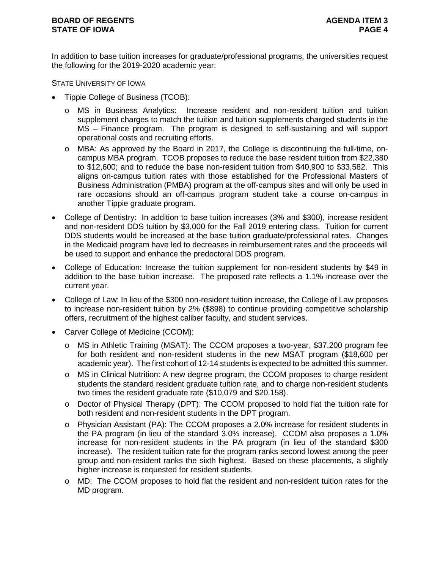In addition to base tuition increases for graduate/professional programs, the universities request the following for the 2019-2020 academic year:

STATE UNIVERSITY OF IOWA

- Tippie College of Business (TCOB):
	- o MS in Business Analytics: Increase resident and non-resident tuition and tuition supplement charges to match the tuition and tuition supplements charged students in the MS – Finance program. The program is designed to self-sustaining and will support operational costs and recruiting efforts.
	- o MBA: As approved by the Board in 2017, the College is discontinuing the full-time, oncampus MBA program. TCOB proposes to reduce the base resident tuition from \$22,380 to \$12,600; and to reduce the base non-resident tuition from \$40,900 to \$33,582. This aligns on-campus tuition rates with those established for the Professional Masters of Business Administration (PMBA) program at the off-campus sites and will only be used in rare occasions should an off-campus program student take a course on-campus in another Tippie graduate program.
- College of Dentistry: In addition to base tuition increases (3% and \$300), increase resident and non-resident DDS tuition by \$3,000 for the Fall 2019 entering class. Tuition for current DDS students would be increased at the base tuition graduate/professional rates. Changes in the Medicaid program have led to decreases in reimbursement rates and the proceeds will be used to support and enhance the predoctoral DDS program.
- College of Education: Increase the tuition supplement for non-resident students by \$49 in addition to the base tuition increase. The proposed rate reflects a 1.1% increase over the current year.
- College of Law: In lieu of the \$300 non-resident tuition increase, the College of Law proposes to increase non-resident tuition by 2% (\$898) to continue providing competitive scholarship offers, recruitment of the highest caliber faculty, and student services.
- Carver College of Medicine (CCOM):
	- o MS in Athletic Training (MSAT): The CCOM proposes a two-year, \$37,200 program fee for both resident and non-resident students in the new MSAT program (\$18,600 per academic year). The first cohort of 12-14 students is expected to be admitted this summer.
	- o MS in Clinical Nutrition: A new degree program, the CCOM proposes to charge resident students the standard resident graduate tuition rate, and to charge non-resident students two times the resident graduate rate (\$10,079 and \$20,158).
	- o Doctor of Physical Therapy (DPT): The CCOM proposed to hold flat the tuition rate for both resident and non-resident students in the DPT program.
	- o Physician Assistant (PA): The CCOM proposes a 2.0% increase for resident students in the PA program (in lieu of the standard 3.0% increase). CCOM also proposes a 1.0% increase for non-resident students in the PA program (in lieu of the standard \$300 increase). The resident tuition rate for the program ranks second lowest among the peer group and non-resident ranks the sixth highest. Based on these placements, a slightly higher increase is requested for resident students.
	- o MD: The CCOM proposes to hold flat the resident and non-resident tuition rates for the MD program.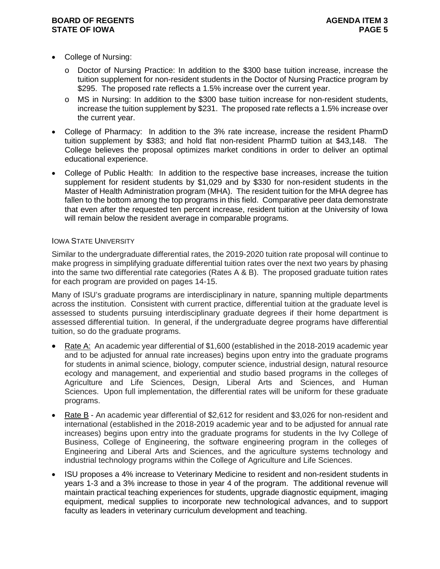#### **BOARD OF REGENTS AGENUS AGENDA ITEM 3 STATE OF IOWA PAGE 5**

- College of Nursing:
	- o Doctor of Nursing Practice: In addition to the \$300 base tuition increase, increase the tuition supplement for non-resident students in the Doctor of Nursing Practice program by \$295. The proposed rate reflects a 1.5% increase over the current year.
	- o MS in Nursing: In addition to the \$300 base tuition increase for non-resident students, increase the tuition supplement by \$231. The proposed rate reflects a 1.5% increase over the current year.
- College of Pharmacy: In addition to the 3% rate increase, increase the resident PharmD tuition supplement by \$383; and hold flat non-resident PharmD tuition at \$43,148. The College believes the proposal optimizes market conditions in order to deliver an optimal educational experience.
- College of Public Health: In addition to the respective base increases, increase the tuition supplement for resident students by \$1,029 and by \$330 for non-resident students in the Master of Health Administration program (MHA). The resident tuition for the MHA degree has fallen to the bottom among the top programs in this field. Comparative peer data demonstrate that even after the requested ten percent increase, resident tuition at the University of Iowa will remain below the resident average in comparable programs.

#### IOWA STATE UNIVERSITY

Similar to the undergraduate differential rates, the 2019-2020 tuition rate proposal will continue to make progress in simplifying graduate differential tuition rates over the next two years by phasing into the same two differential rate categories (Rates A & B). The proposed graduate tuition rates for each program are provided on pages 14-15.

Many of ISU's graduate programs are interdisciplinary in nature, spanning multiple departments across the institution. Consistent with current practice, differential tuition at the graduate level is assessed to students pursuing interdisciplinary graduate degrees if their home department is assessed differential tuition. In general, if the undergraduate degree programs have differential tuition, so do the graduate programs.

- Rate A: An academic year differential of \$1,600 (established in the 2018-2019 academic year and to be adjusted for annual rate increases) begins upon entry into the graduate programs for students in animal science, biology, computer science, industrial design, natural resource ecology and management, and experiential and studio based programs in the colleges of Agriculture and Life Sciences, Design, Liberal Arts and Sciences, and Human Sciences. Upon full implementation, the differential rates will be uniform for these graduate programs.
- Rate B An academic year differential of \$2,612 for resident and \$3,026 for non-resident and international (established in the 2018-2019 academic year and to be adjusted for annual rate increases) begins upon entry into the graduate programs for students in the Ivy College of Business, College of Engineering, the software engineering program in the colleges of Engineering and Liberal Arts and Sciences, and the agriculture systems technology and industrial technology programs within the College of Agriculture and Life Sciences.
- ISU proposes a 4% increase to Veterinary Medicine to resident and non-resident students in years 1-3 and a 3% increase to those in year 4 of the program. The additional revenue will maintain practical teaching experiences for students, upgrade diagnostic equipment, imaging equipment, medical supplies to incorporate new technological advances, and to support faculty as leaders in veterinary curriculum development and teaching.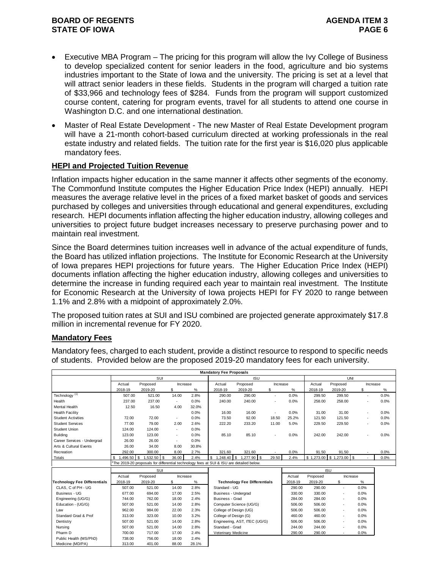#### **BOARD OF REGENTS AGENDA ITEM 3 STATE OF IOWA**

- Executive MBA Program The pricing for this program will allow the Ivy College of Business to develop specialized content for senior leaders in the food, agriculture and bio systems industries important to the State of Iowa and the university. The pricing is set at a level that will attract senior leaders in these fields. Students in the program will charged a tuition rate of \$33,966 and technology fees of \$284. Funds from the program will support customized course content, catering for program events, travel for all students to attend one course in Washington D.C. and one international destination.
- Master of Real Estate Development The new Master of Real Estate Development program will have a 21-month cohort-based curriculum directed at working professionals in the real estate industry and related fields. The tuition rate for the first year is \$16,020 plus applicable mandatory fees.

#### **HEPI and Projected Tuition Revenue**

Inflation impacts higher education in the same manner it affects other segments of the economy. The Commonfund Institute computes the Higher Education Price Index (HEPI) annually. HEPI measures the average relative level in the prices of a fixed market basket of goods and services purchased by colleges and universities through educational and general expenditures, excluding research. HEPI documents inflation affecting the higher education industry, allowing colleges and universities to project future budget increases necessary to preserve purchasing power and to maintain real investment.

Since the Board determines tuition increases well in advance of the actual expenditure of funds, the Board has utilized inflation projections. The Institute for Economic Research at the University of Iowa prepares HEPI projections for future years. The Higher Education Price Index (HEPI) documents inflation affecting the higher education industry, allowing colleges and universities to determine the increase in funding required each year to maintain real investment. The Institute for Economic Research at the University of Iowa projects HEPI for FY 2020 to range between 1.1% and 2.8% with a midpoint of approximately 2.0%.

The proposed tuition rates at SUI and ISU combined are projected generate approximately \$17.8 million in incremental revenue for FY 2020.

### **Mandatory Fees**

Mandatory fees, charged to each student, provide a distinct resource to respond to specific needs of students. Provided below are the proposed 2019-20 mandatory fees for each university.

|                                     |                    |                                                                                         |                          |       | <b>Mandatory Fee Proposals</b> |                                     |          |         |            |                  |                          |      |
|-------------------------------------|--------------------|-----------------------------------------------------------------------------------------|--------------------------|-------|--------------------------------|-------------------------------------|----------|---------|------------|------------------|--------------------------|------|
|                                     |                    | SUI                                                                                     |                          |       |                                | <b>ISU</b>                          |          |         |            | <b>UNI</b>       |                          |      |
|                                     | Actual             | Proposed                                                                                | Increase                 |       | Actual                         | Proposed                            | Increase |         | Actual     | Proposed         | Increase                 |      |
|                                     | 2018-19            | 2019-20                                                                                 | \$                       | $\%$  | 2018-19                        | 2019-20                             | \$       | $\%$    | 2018-19    | 2019-20          | \$                       | ℅    |
| Technology <sup>(1)</sup>           | 507.00             | 521.00                                                                                  | 14.00                    | 2.8%  | 290.00                         | 290.00                              | ٠        | 0.0%    | 299.50     | 299.50           | $\overline{\phantom{a}}$ | 0.0% |
| Health                              | 237.00             | 237.00                                                                                  | $\overline{\phantom{a}}$ | 0.0%  | 240.00                         | 240.00                              |          | 0.0%    | 258.00     | 258.00           |                          | 0.0% |
| <b>Mental Health</b>                | 12.50              | 16.50                                                                                   | 4.00                     | 32.0% |                                |                                     |          |         |            |                  |                          |      |
| <b>Health Facility</b>              |                    |                                                                                         |                          | 0.0%  | 16.00                          | 16.00                               |          | 0.0%    | 31.00      | 31.00            | ×                        | 0.0% |
| <b>Student Activities</b>           | 72.00              | 72.00                                                                                   | $\sim$                   | 0.0%  | 73.50                          | 92.00                               | 18.50    | 25.2%   | 121.50     | 121.50           | ٠                        | 0.0% |
| <b>Student Services</b>             | 77.00              | 79.00                                                                                   | 2.00                     | 2.6%  | 222.20                         | 233.20                              | 11.00    | 5.0%    | 229.50     | 229.50           | ٠                        | 0.0% |
| Student Union                       | 124.00             | 124.00                                                                                  | $\overline{\phantom{a}}$ | 0.0%  |                                |                                     |          |         |            |                  |                          |      |
| Building                            | 123.00             | 123.00                                                                                  | $\sim$                   | 0.0%  | 85.10                          | 85.10                               | ٠        | 0.0%    | 242.00     | 242.00           |                          | 0.0% |
| Career Services - Undergrad         | 26.00              | 26.00                                                                                   | $\overline{\phantom{a}}$ | 0.0%  |                                |                                     |          |         |            |                  |                          |      |
| Arts & Cultural Events              | 26.00              | 34.00                                                                                   | 8.00                     | 30.8% |                                |                                     |          |         |            |                  |                          |      |
| Recreation                          | 292.00             | 300.00                                                                                  | 8.00                     | 2.7%  | 321.60                         | 321.60                              |          | 0.0%    | 91.50      | 91.50            |                          | 0.0% |
| <b>Totals</b>                       | S.<br>.496.50<br>1 | <b>S</b><br>$,532.50$ \$                                                                | 36.00                    | 2.4%  | S<br>1,248.40                  | l s<br>1,277.90 \$                  | 29.50    | 2.4%    | \$1,273.00 | $$1,273.00$ \ \$ |                          | 0.0% |
|                                     |                    | The 2019-20 proposals for differential technology fees at SUI & ISU are detailed below. |                          |       |                                |                                     |          |         |            |                  |                          |      |
|                                     |                    | SUI                                                                                     |                          |       |                                |                                     |          |         |            | <b>ISU</b>       |                          |      |
|                                     | Actual             | Proposed                                                                                | Increase                 |       |                                |                                     |          | Actual  | Proposed   | Increase         |                          |      |
| <b>Technology Fee Differentials</b> | 2018-19            | 2019-20                                                                                 | \$                       | $\%$  |                                | <b>Technology Fee Differentials</b> |          | 2018-19 | 2019-20    | \$               | %                        |      |
| CLAS. C of PH - UG                  | 507.00             | 521.00                                                                                  | 14.00                    | 2.8%  | Standard - UG                  |                                     |          | 290.00  | 290.00     | ٠                | 0.0%                     |      |
| Business - UG                       | 677.00             | 694.00                                                                                  | 17.00                    | 2.5%  | Business - Undergrad           |                                     |          | 330.00  | 330.00     | ä,               | 0.0%                     |      |
| Engineering (UG/G)                  | 744.00             | 762.00                                                                                  | 18.00                    | 2.4%  | Business - Grad                |                                     |          | 284.00  | 284.00     | ٠                | 0.0%                     |      |
| Education - (UG/G)                  | 507.00             | 521.00                                                                                  | 14.00                    | 2.8%  |                                | Computer Science (UG/G)             |          | 506.00  | 506.00     | ٠                | 0.0%                     |      |
| Law                                 | 962.00             | 984.00                                                                                  | 22.00                    | 2.3%  |                                | College of Design (UG)              |          | 506.00  | 506.00     | ٠                | 0.0%                     |      |
| Standard Grad & Prof                | 313.00             | 323.00                                                                                  | 10.00                    | 3.2%  | College of Design (G)          |                                     |          | 460.00  | 460.00     | ٠                | 0.0%                     |      |
| Dentistry                           | 507.00             | 521.00                                                                                  | 14.00                    | 2.8%  |                                | Engineering, AST, ITEC (UG/G)       |          | 506.00  | 506.00     | ä,               | 0.0%                     |      |
| Nursing                             | 507.00             | 521.00                                                                                  | 14.00                    | 2.8%  | Standard - Grad                |                                     |          | 244.00  | 244.00     |                  | 0.0%                     |      |
| Pharm D                             | 700.00             | 717.00                                                                                  | 17.00                    | 2.4%  | Veterinary Medicine            |                                     |          | 290.00  | 290.00     |                  | 0.0%                     |      |
| Public Health (MS/PhD)              | 738.00             | 756.00                                                                                  | 18.00                    | 2.4%  |                                |                                     |          |         |            |                  |                          |      |
| Medicine (MD/PA)                    | 313.00             | 401.00                                                                                  | 88.00                    | 28.1% |                                |                                     |          |         |            |                  |                          |      |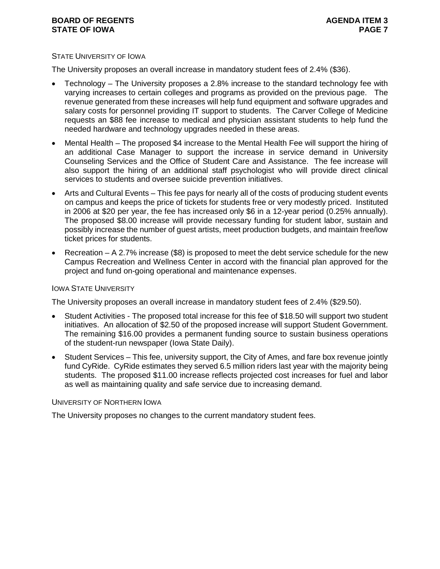#### **BOARD OF REGENTS AGENUS AGENDA ITEM 3 STATE OF IOWA PAGE 7**

#### STATE UNIVERSITY OF IOWA

The University proposes an overall increase in mandatory student fees of 2.4% (\$36).

- Technology The University proposes a 2.8% increase to the standard technology fee with varying increases to certain colleges and programs as provided on the previous page. The revenue generated from these increases will help fund equipment and software upgrades and salary costs for personnel providing IT support to students. The Carver College of Medicine requests an \$88 fee increase to medical and physician assistant students to help fund the needed hardware and technology upgrades needed in these areas.
- Mental Health The proposed \$4 increase to the Mental Health Fee will support the hiring of an additional Case Manager to support the increase in service demand in University Counseling Services and the Office of Student Care and Assistance. The fee increase will also support the hiring of an additional staff psychologist who will provide direct clinical services to students and oversee suicide prevention initiatives.
- Arts and Cultural Events This fee pays for nearly all of the costs of producing student events on campus and keeps the price of tickets for students free or very modestly priced. Instituted in 2006 at \$20 per year, the fee has increased only \$6 in a 12-year period (0.25% annually). The proposed \$8.00 increase will provide necessary funding for student labor, sustain and possibly increase the number of guest artists, meet production budgets, and maintain free/low ticket prices for students.
- Recreation A 2.7% increase (\$8) is proposed to meet the debt service schedule for the new Campus Recreation and Wellness Center in accord with the financial plan approved for the project and fund on-going operational and maintenance expenses.

#### IOWA STATE UNIVERSITY

The University proposes an overall increase in mandatory student fees of 2.4% (\$29.50).

- Student Activities The proposed total increase for this fee of \$18.50 will support two student initiatives. An allocation of \$2.50 of the proposed increase will support Student Government. The remaining \$16.00 provides a permanent funding source to sustain business operations of the student-run newspaper (Iowa State Daily).
- Student Services This fee, university support, the City of Ames, and fare box revenue jointly fund CyRide. CyRide estimates they served 6.5 million riders last year with the majority being students. The proposed \$11.00 increase reflects projected cost increases for fuel and labor as well as maintaining quality and safe service due to increasing demand.

#### UNIVERSITY OF NORTHERN IOWA

The University proposes no changes to the current mandatory student fees.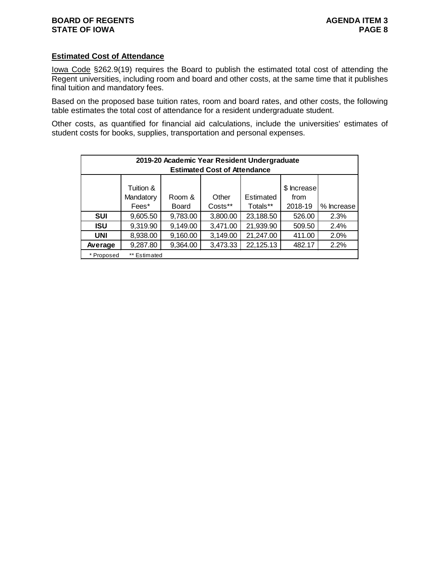#### **Estimated Cost of Attendance**

Iowa Code §262.9(19) requires the Board to publish the estimated total cost of attending the Regent universities, including room and board and other costs, at the same time that it publishes final tuition and mandatory fees.

Based on the proposed base tuition rates, room and board rates, and other costs, the following table estimates the total cost of attendance for a resident undergraduate student.

Other costs, as quantified for financial aid calculations, include the universities' estimates of student costs for books, supplies, transportation and personal expenses.

|            | 2019-20 Academic Year Resident Undergraduate<br><b>Estimated Cost of Attendance</b> |                        |                  |                       |                                |            |  |  |  |  |  |  |  |  |  |
|------------|-------------------------------------------------------------------------------------|------------------------|------------------|-----------------------|--------------------------------|------------|--|--|--|--|--|--|--|--|--|
|            | Tuition &<br>Mandatory<br>Fees*                                                     | Room &<br><b>Board</b> | Other<br>Costs** | Estimated<br>Totals** | \$ Increase<br>from<br>2018-19 | % Increase |  |  |  |  |  |  |  |  |  |
| <b>SUI</b> | 9,605.50                                                                            | 9,783.00               | 3,800.00         | 23,188.50             | 526.00                         | 2.3%       |  |  |  |  |  |  |  |  |  |
| <b>ISU</b> | 9,319.90                                                                            | 9,149.00               | 3,471.00         | 21,939.90             | 509.50                         | 2.4%       |  |  |  |  |  |  |  |  |  |
| <b>UNI</b> | 8,938.00                                                                            | 9,160.00               | 3,149.00         | 21,247.00             | 411.00                         | 2.0%       |  |  |  |  |  |  |  |  |  |
| Average    | 9,287.80                                                                            | 9,364.00               | 3,473.33         | 22,125.13             | 482.17                         | 2.2%       |  |  |  |  |  |  |  |  |  |
| * Proposed | ** Estimated                                                                        |                        |                  |                       |                                |            |  |  |  |  |  |  |  |  |  |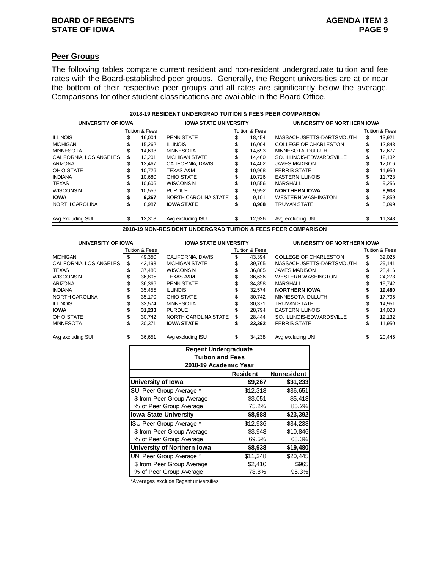### **BOARD OF REGENTS**<br> **BOARD OF REGENTS**<br> **BOARD OF IOWA**<br> **BOARD OF IOWA STATE OF IOWA**

# **Peer Groups**

The following tables compare current resident and non-resident undergraduate tuition and fee rates with the Board-established peer groups. Generally, the Regent universities are at or near the bottom of their respective peer groups and all rates are significantly below the average. Comparisons for other student classifications are available in the Board Office.

|                         |    |                           | 2018-19 RESIDENT UNDERGRAD TUITION & FEES PEER COMPARISON     |                           |                              |    |                |
|-------------------------|----|---------------------------|---------------------------------------------------------------|---------------------------|------------------------------|----|----------------|
| UNIVERSITY OF IOWA      |    |                           | <b>IOWA STATE UNIVERSITY</b>                                  |                           | UNIVERSITY OF NORTHERN IOWA  |    |                |
|                         |    | <b>Tuition &amp; Fees</b> |                                                               | <b>Tuition &amp; Fees</b> |                              |    | Tuition & Fees |
| <b>ILLINOIS</b>         |    | 16,004                    | <b>PENN STATE</b>                                             | 18.454                    | MASSACHUSETTS-DARTSMOUTH     | S  | 13,921         |
| <b>IMICHIGAN</b>        |    | 15.262                    | <b>ILLINOIS</b>                                               | 16.004                    | <b>COLLEGE OF CHARLESTON</b> | \$ | 12,843         |
| <b>IMINNESOTA</b>       |    | 14.693                    | <b>MINNESOTA</b>                                              | 14.693                    | MINNESOTA, DULUTH            | \$ | 12,677         |
| CALIFORNIA, LOS ANGELES | S  | 13.201                    | <b>MICHIGAN STATE</b>                                         | \$<br>14.460              | SO. ILLINOIS-EDWARDSVILLE    | S  | 12,132         |
| <b>ARIZONA</b>          |    | 12.467                    | CALIFORNIA, DAVIS                                             | \$<br>14.402              | <b>JAMES MADISON</b>         |    | 12,016         |
| <b>OHIO STATE</b>       |    | 10.726                    | <b>TEXAS A&amp;M</b>                                          | \$<br>10.968              | <b>FERRIS STATE</b>          |    | 11,950         |
| <b>INDIANA</b>          |    | 10.680                    | OHIO STATE                                                    | \$<br>10.726              | <b>EASTERN ILLINOIS</b>      |    | 11,723         |
| <b>TEXAS</b>            | S  | 10.606                    | <b>WISCONSIN</b>                                              | 10.556                    | <b>MARSHALL</b>              |    | 9,256          |
| <b>WISCONSIN</b>        | S  | 10.556                    | <b>PURDUE</b>                                                 | \$<br>9.992               | <b>NORTHERN IOWA</b>         |    | 8,938          |
| liowa                   |    | 9.267                     | NORTH CAROLINA STATE                                          | \$<br>9.101               | <b>WESTERN WASHINGTON</b>    | S  | 8,859          |
| <b>INORTH CAROLINA</b>  | S  | 8.987                     | <b>IOWA STATE</b>                                             | \$<br>8,988               | <b>TRUMAN STATE</b>          | \$ | 8,099          |
| Avg excluding SUI       | \$ | 12,318                    | Avg excluding ISU                                             | \$<br>12,936              | Avg excluding UNI            | \$ | 11,348         |
|                         |    |                           | 2018-19 NON-RESIDENT UNDERGRAD TUITION & FEES PEER COMPARISON |                           |                              |    |                |

| UNIVERSITY OF IOWA              |    | <b>IOWA STATE UNIVERSITY</b> |                       |    | UNIVERSITY OF NORTHERN IOWA |                              |    |                |  |  |
|---------------------------------|----|------------------------------|-----------------------|----|-----------------------------|------------------------------|----|----------------|--|--|
|                                 |    | Tuition & Fees               |                       |    | Tuition & Fees              |                              |    | Tuition & Fees |  |  |
| <b>IMICHIGAN</b>                |    | 49.350                       | CALIFORNIA, DAVIS     |    | 43.394                      | <b>COLLEGE OF CHARLESTON</b> | S  | 32,025         |  |  |
| <b>ICALIFORNIA, LOS ANGELES</b> | \$ | 42.193                       | <b>MICHIGAN STATE</b> | \$ | 39.765                      | MASSACHUSETTS-DARTSMOUTH     | \$ | 29.141         |  |  |
| <b>ITEXAS</b>                   | S  | 37.480                       | <b>WISCONSIN</b>      | \$ | 36.805                      | <b>JAMES MADISON</b>         | S  | 28,416         |  |  |
| <b>WISCONSIN</b>                |    | 36.805                       | <b>TEXAS A&amp;M</b>  |    | 36.636                      | <b>WESTERN WASHINGTON</b>    |    | 24.273         |  |  |
| <b>ARIZONA</b>                  |    | 36.366                       | <b>PENN STATE</b>     | \$ | 34.858                      | MARSHALL                     |    | 19,742         |  |  |
| <b>INDIANA</b>                  | S. | 35.455                       | <b>ILLINOIS</b>       | \$ | 32.574                      | <b>NORTHERN IOWA</b>         |    | 19,480         |  |  |
| <b>INORTH CAROLINA</b>          |    | 35.170                       | OHIO STATE            | \$ | 30.742                      | MINNESOTA, DULUTH            |    | 17.795         |  |  |
| <b>ILLINOIS</b>                 |    | 32.574                       | <b>MINNESOTA</b>      | \$ | 30.371                      | <b>TRUMAN STATE</b>          |    | 14.951         |  |  |
| <b>IIOWA</b>                    |    | 31.233                       | <b>PURDUE</b>         | \$ | 28.794                      | <b>EASTERN ILLINOIS</b>      |    | 14,023         |  |  |
| <b>OHIO STATE</b>               | \$ | 30.742                       | NORTH CAROLINA STATE  | \$ | 28.444                      | SO. ILLINOIS-EDWARDSVILLE    | \$ | 12.132         |  |  |
| <b>IMINNESOTA</b>               | \$ | 30.371                       | <b>IOWA STATE</b>     | ъ  | 23.392                      | <b>FERRIS STATE</b>          | \$ | 11.950         |  |  |
| Avg excluding SUI               | S. | 36.651                       | Ava excluding ISU     | S  | 34.238                      | Ava excluding UNI            | \$ | 20.445         |  |  |

| <b>Regent Undergraduate</b><br><b>Tuition and Fees</b><br>2018-19 Academic Year |          |          |  |  |  |  |  |  |  |  |  |  |  |  |
|---------------------------------------------------------------------------------|----------|----------|--|--|--|--|--|--|--|--|--|--|--|--|
| <b>Nonresident</b><br>Resident                                                  |          |          |  |  |  |  |  |  |  |  |  |  |  |  |
| University of Iowa                                                              | \$9,267  | \$31,233 |  |  |  |  |  |  |  |  |  |  |  |  |
| SUI Peer Group Average *                                                        | \$12,318 | \$36,651 |  |  |  |  |  |  |  |  |  |  |  |  |
| \$ from Peer Group Average                                                      | \$3,051  | \$5,418  |  |  |  |  |  |  |  |  |  |  |  |  |
| % of Peer Group Average                                                         | 75.2%    | 85.2%    |  |  |  |  |  |  |  |  |  |  |  |  |
| <b>Iowa State University</b>                                                    | \$8,988  | \$23,392 |  |  |  |  |  |  |  |  |  |  |  |  |
| ISU Peer Group Average *                                                        | \$12,936 | \$34,238 |  |  |  |  |  |  |  |  |  |  |  |  |
| \$ from Peer Group Average                                                      | \$3.948  | \$10,846 |  |  |  |  |  |  |  |  |  |  |  |  |
| % of Peer Group Average                                                         | 69.5%    | 68.3%    |  |  |  |  |  |  |  |  |  |  |  |  |
| University of Northern Iowa                                                     | \$8,938  | \$19,480 |  |  |  |  |  |  |  |  |  |  |  |  |
| UNI Peer Group Average *                                                        | \$11,348 | \$20,445 |  |  |  |  |  |  |  |  |  |  |  |  |
| \$ from Peer Group Average                                                      | \$2,410  | \$965    |  |  |  |  |  |  |  |  |  |  |  |  |
| % of Peer Group Average                                                         | 78.8%    | 95.3%    |  |  |  |  |  |  |  |  |  |  |  |  |

\*Averages exclude Regent universities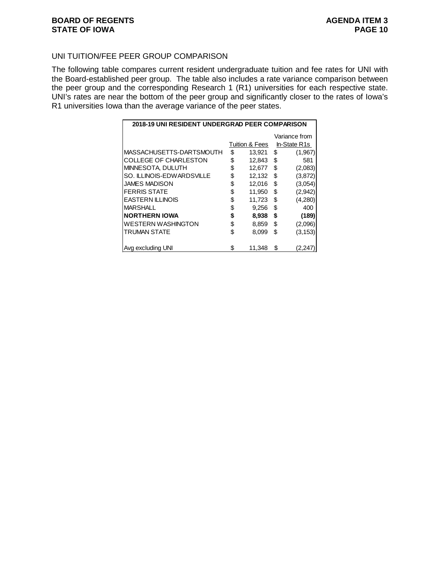#### UNI TUITION/FEE PEER GROUP COMPARISON

The following table compares current resident undergraduate tuition and fee rates for UNI with the Board-established peer group. The table also includes a rate variance comparison between the peer group and the corresponding Research 1 (R1) universities for each respective state. UNI's rates are near the bottom of the peer group and significantly closer to the rates of Iowa's R1 universities Iowa than the average variance of the peer states.

| 2018-19 UNI RESIDENT UNDERGRAD PEER COMPARISON |                |    |               |
|------------------------------------------------|----------------|----|---------------|
|                                                |                |    | Variance from |
|                                                | Tuition & Fees |    | In-State R1s  |
| MASSACHUSETTS-DARTSMOUTH                       | \$<br>13,921   | \$ | (1,967)       |
| <b>COLLEGE OF CHARLESTON</b>                   | \$<br>12,843   | \$ | 581           |
| MINNESOTA, DULUTH                              | \$<br>12,677   | \$ | (2,083)       |
| SO. ILLINOIS-EDWARDSVILLE                      | \$<br>12,132   | \$ | (3,872)       |
| <b>JAMES MADISON</b>                           | \$<br>12,016   | \$ | (3,054)       |
| <b>FERRIS STATE</b>                            | \$<br>11,950   | \$ | (2,942)       |
| <b>EASTERN ILLINOIS</b>                        | \$<br>11,723   | \$ | (4,280)       |
| <b>MARSHALL</b>                                | \$<br>9,256    | \$ | 400           |
| <b>NORTHERN IOWA</b>                           | \$<br>8,938    | \$ | (189)         |
| <b>WESTERN WASHINGTON</b>                      | \$<br>8,859    | \$ | (2,096)       |
| <b>TRUMAN STATE</b>                            | \$<br>8,099    | \$ | (3, 153)      |
|                                                |                |    |               |
| Avg excluding UNI                              | \$<br>11,348   | S  | (2,247        |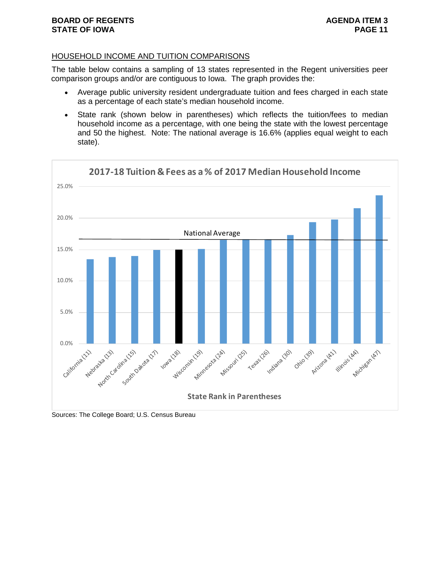#### HOUSEHOLD INCOME AND TUITION COMPARISONS

The table below contains a sampling of 13 states represented in the Regent universities peer comparison groups and/or are contiguous to Iowa. The graph provides the:

- Average public university resident undergraduate tuition and fees charged in each state as a percentage of each state's median household income.
- State rank (shown below in parentheses) which reflects the tuition/fees to median household income as a percentage, with one being the state with the lowest percentage and 50 the highest. Note: The national average is 16.6% (applies equal weight to each state).



Sources: The College Board; U.S. Census Bureau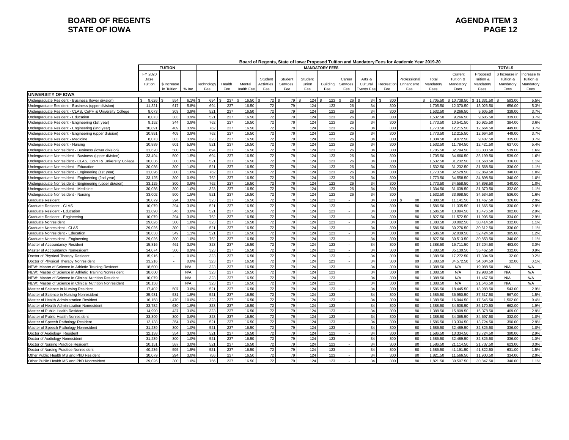#### **BOARD OF REGENTS**<br> **BOARD OF REGENTS**<br> **BOARD OF IOWA**<br>
PAGE 12 **STATE OF IOWA**

|                                                             |                             |                |         |            |        |                   |            |          |         |                       |                |            |            | Board of Regents, State of Iowa: Proposed Tultion and Mandatory Fees for Academic Year 2019-20 |           |             |             |               |            |
|-------------------------------------------------------------|-----------------------------|----------------|---------|------------|--------|-------------------|------------|----------|---------|-----------------------|----------------|------------|------------|------------------------------------------------------------------------------------------------|-----------|-------------|-------------|---------------|------------|
|                                                             |                             | <b>TUITION</b> |         |            |        |                   |            |          |         | <b>MANDATORY FEES</b> |                |            |            |                                                                                                |           |             |             | <b>TOTALS</b> |            |
|                                                             | FY 2020                     |                |         |            |        |                   |            |          |         |                       |                |            |            |                                                                                                |           | Current     | Proposed    | \$ Increase i | ncrease In |
|                                                             | Base                        |                |         |            |        |                   | Student    | Student  | Student |                       | Career         | Arts &     |            | Professiona                                                                                    | Total     | Tuition &   | Tuition &   | Tuition &     | Tuition &  |
|                                                             | Tuition                     | \$ Increase    |         | Technology | Health | Mental            | Activities | Services | Union   | <b>Building</b>       | Services       | Cultural   | Recreation | Enhancemt                                                                                      | Mandatory | Mandatory   | Mandatory   | Mandatory     | Mandatory  |
|                                                             |                             | in Tuition     | $%$ Inc | Fee        | Fee    | <b>Health Fee</b> | Fee        | Fee      | Fee     | Fee                   | Fee            | Events Fee | Fee        | Fee                                                                                            | Fees      | Fees        | Fees        | Fees          | Fees       |
| UNIVERSITY OF IOWA                                          |                             |                |         |            |        |                   |            |          |         |                       |                |            |            |                                                                                                |           |             |             |               |            |
| Indergraduate Resident - Business (lower division)          | 9.626<br>$\mathbf{\hat{z}}$ | 554            | 6.1%    | 694        | 237    | 16.50             | 72S        | 79       | 124     | 123                   | 26             | 34         | 300        |                                                                                                | 1.705.50  | \$10,738,50 | \$11,331.50 | 593.00        | 5.5%       |
| Indergraduate Resident - Business (upper division)          | 11,321                      | 617            | 5.8%    | 694        | 237    | 16.50             | 72         | 79       | 124     | 123                   | 26             | 34         | 300        |                                                                                                | 1,705.50  | 12,370.50   | 13,026.50   | 656.00        | 5.3%       |
| Undergraduate Resident - CLAS, CoPH & University College    | 8,073                       | 303            | 3.9%    | 521        | 237    | 16.50             | 72         | 79       | 124     | 123                   | 26             | 34         | 300        |                                                                                                | 1,532.50  | 9,266.50    | 9,605.50    | 339.00        | 3.7%       |
| Undergraduate Resident - Education                          | 8,073                       | 303            | 3.9%    | 521        | 237    | 16.50             | 72         | 79       | 124     | 123                   | 26             | 34         | 300        |                                                                                                | 1,532.50  | 9,266.50    | 9.605.50    | 339.00        | 3.7%       |
| Jndergraduate Resident - Engineering (1st year)             | 9.152                       | 344            | 3.9%    | 762        | 237    | 16.50             | 72         | 79       | 124     | 123                   | 26             | 34         | 300        |                                                                                                | 1,773.50  | 10.541.50   | 10.925.50   | 384.00        | 3.6%       |
| Indergraduate Resident - Engineering (2nd year)             | 10,891                      | 409            | 3.9%    | 762        | 237    | 16.50             | 72         | 79       | 124     | 123                   | 26             | 34         | 300        |                                                                                                | 1,773.50  | 12,215.50   | 12,664.50   | 449.00        | 3.7%       |
| Jndergraduate Resident - Engineering (upper division)       | 10,891                      | 409            | 3.9%    | 762        | 237    | 16.50             | 72         | 79       | 124     | 123                   | 26             | 34         | 300        |                                                                                                | 1,773.50  | 12,215.50   | 12.664.50   | 449.00        | 3.7%       |
| Undergraduate Resident - Medicine                           | 8.073                       | 303            | 3.9%    | 323        | 237    | 16.50             | 72         | 79       | 124     | 123                   | 26             | 34         | 300        |                                                                                                | 1.334.50  | 9.072.50    | 9.407.50    | 335.00        | 3.7%       |
| Indergraduate Resident - Nursing                            | 10.889                      | 601            | 5.8%    | 521        | 237    | 16.50             | 72         | 79       | 124     | 123                   | 26             | 34         | 300        |                                                                                                | 1.532.50  | 11.784.50   | 12.421.50   | 637.00        | 5.4%       |
| Indergraduate Nonresident - Business (lower division)       | 31.628                      | 500            | 1.6%    | 694        | 237    | 16.50             | 72         | 79       | 124     | 123                   | 26             | 34         | 300        |                                                                                                | 1.705.50  | 32.794.50   | 33,333.50   | 539.00        | 1.6%       |
| Undergraduate Nonresident - Business (upper division)       | 33,494                      | 500            | 1.5%    | 694        | 237    | 16.50             | 72         | 79       | 124     | 123                   | 26             | 34         | 300        |                                                                                                | 1,705.50  | 34,660.50   | 35,199.50   | 539.00        | 1.6%       |
| Indergraduate Nonresident - CLAS, CoPH & University College | 30.036                      | 300            | 1.0%    | 521        | 237    | 16.50             | 72         | 79       | 124     | 123                   | 26             | 34         | 300        |                                                                                                | 1.532.50  | 31.232.50   | 31.568.50   | 336.00        | 1.1%       |
| Indergraduate Nonresident - Education                       | 30,036                      | 300            | 1.0%    | 521        | 237    | 16.50             | 72         | 79       | 124     | 123                   | 26             | 34         | 300        |                                                                                                | 1,532.50  | 31,232.50   | 31,568.50   | 336.00        | 1.1%       |
| Indergraduate Nonresident - Engineering (1st year)          | 31.096                      | 300            | 1.0%    | 762        | 237    | 16.50             | 72         | 79       | 124     | 123                   | 26             | 34         | 300        |                                                                                                | 1.773.50  | 32.529.50   | 32.869.50   | 340.00        | 1.0%       |
| Undergraduate Nonresident - Engineering (2nd year)          | 33,125                      | 300            | 0.9%    | 762        | 237    | 16.50             | 72         | 79       | 124     | 123                   | 26             | 34         | 300        |                                                                                                | 1,773.50  | 34,558.50   | 34,898.50   | 340.00        | 1.0%       |
| Jndergraduate Nonresident - Engineering (upper division)    | 33.125                      | 300            | 0.9%    | 762        | 237    | 16.50             | 72         | 79       | 124     | 123                   | 26             | 34         | 300        |                                                                                                | 1,773.50  | 34,558.50   | 34.898.50   | 340.00        | 1.0%       |
| Jndergraduate Nonresident - Medicine                        | 30,036                      | 300            | 1.0%    | 323        | 237    | 16.50             | 72         | 79       | 124     | 123                   | 26             | 34         | 300        |                                                                                                | 1,334.50  | 31,038.50   | 31,370.50   | 332.00        | 1.1%       |
| Undergraduate Nonresident - Nursing                         | 33.002                      | 500            | 1.5%    | 521        | 237    | 16.50             | 72         | 79       | 124     | 123                   | 26             | 34         | 300        |                                                                                                | 1.532.50  | 33.998.50   | 34.534.50   | 536.00        | 1.6%       |
| <b>Graduate Resident</b>                                    | 10,079                      | 294            | 3.0%    | 323        | 237    | 16.50             | 72         | 79       | 124     | 123                   | a.             | 34         | 300        | 80                                                                                             | 1,388.50  | 11,141.50   | 11,467.50   | 326.00        | 2.9%       |
| Graduate Resident - CLAS                                    | 10.079                      | 294            | 3.0%    | 521        | 237    | 16.50             | 72         | 79       | 124     | 123                   | $\sim$         | 34         | 300        | 80                                                                                             | 1,586.50  | 11.335.50   | 11.665.50   | 330.00        | 2.9%       |
| Graduate Resident - Education                               | 11.890                      | 346            | 3.0%    | 521        | 237    | 16.50             | 72         | 79       | 124     | 123                   | ٠.             | 34         | 300        | 80                                                                                             | 1,586.50  | 13,094.50   | 13,476.50   | 382.00        | 2.9%       |
| Graduate Resident - Engineering                             | 10.079                      | 294            | 3.0%    | 762        | 237    | 16.50             | 72         | 79       | 124     | 123                   |                | 34         | 300        | 80                                                                                             | 1,827.50  | 11,572.50   | 11.906.50   | 334.00        | 2.9%       |
| <b>Graduate Nonresident</b>                                 | 29.026                      | 300            | 1.0%    | 323        | 237    | 16.50             | 72         | 79       | 124     | 123                   |                | 34         | 300        | 80                                                                                             | 1.388.50  | 30.082.50   | 30.414.50   | 332.00        | 1.1%       |
| Graduate Nonresident - CLAS                                 | 29.026                      | 300            | 1.0%    | 521        | 237    | 16.50             | 72         | 79       | 124     | 123                   | ×.             | 34         | 300        | 80                                                                                             | 1,586.50  | 30.276.50   | 30.612.50   | 336.00        | 1.1%       |
| Graduate Nonresident - Education                            | 30.838                      | 349            | 1.1%    | 521        | 237    | 16.50             | 72         | 79       | 124     | 123                   | $\sim$         | 34         | 300        | 80                                                                                             | 1.586.50  | 32.039.50   | 32.424.50   | 385.00        | 1.2%       |
| Graduate Nonresident - Engineering                          | 29.026                      | 300            | 1.0%    | 762        | 237    | 16.50             | 72         | 79       | 124     | 123                   | ×.             | 34         | 300        | 80                                                                                             | 1.827.50  | 30.513.50   | 30.853.50   | 340.00        | 1.1%       |
| Master of Accountancy Resident                              | 15,816                      | 461            | 3.0%    | 323        | 237    | 16.50             | 72         | 79       | 124     | 123                   |                | 34         | 300        | 80                                                                                             | 1,388.50  | 16,711.50   | 17,204.50   | 493.00        | 3.0%       |
| Master of Accountancy Nonresident                           | 34.074                      | 300            | 0.9%    | 323        | 237    | 16.50             | 72         | 79       | 124     | 123                   | $\sim$         | 34         | 300        | 80                                                                                             | 1,388.50  | 35,130.50   | 35.462.50   | 332.00        | 0.9%       |
| Doctor of Physical Therapy Resident                         | 15.916                      | $\sim$         | 0.0%    | 323        | 237    | 16.50             | 72         | 79       | 124     | 123                   | ×.             | 34         | 300        | 80                                                                                             | 1,388.50  | 17,272.50   | 17.304.50   | 32.00         | 0.2%       |
| Doctor of Physical Therapy Nonresident                      | 33,216                      | $\sim$         | 0.0%    | 323        | 237    | 16.50             | 72         | 79       | 124     | 123                   | ÷.             | 34         | 300        | 80                                                                                             | 1,388.50  | 34,572.50   | 34,604.50   | 32.00         | 0.1%       |
| NEW: Master of Science in Athletic Training Resident        | 18,600                      |                | N/A     | 323        | 237    | 16.50             | 72         | 79       | 124     | 123                   |                | 34         | 300        | 80                                                                                             | 1.388.50  | N/A         | 19.988.50   | N/A           | N/A        |
| NEW: Master of Science in Athletic Training Nonresident     | 18,600                      |                | N/A     | 323        | 237    | 16.50             | 72         | 79       | 124     | 123                   |                | 34         | 300        | 80                                                                                             | 1,388.50  | N/A         | 19.988.50   | N/A           | N/A        |
| NEW: Master of Science in Clinical Nutrition Resident       | 10.079                      |                | N/A     | 323        | 237    | 16.50             | 72         | 79       | 124     | 123                   |                | 34         | 300        | 80                                                                                             | 1.388.50  | N/A         | 11.467.50   | N/A           | N/A        |
| NEW: Master of Science in Clinical Nutrition Nonresident    | 20,158                      |                | N/A     | 323        | 237    | 16.50             | 72         | 79       | 124     | 123                   |                | 34         | 300        | 80                                                                                             | 1.388.50  | N/A         | 21.546.50   | N/A           | N/A        |
| Master of Science in Nursing Resident                       | 17,402                      | 507            | 3.0%    | 521        | 237    | 16.50             | 72         | 79       | 124     | 123                   |                | 34         | 300        | 80                                                                                             | 1,586.50  | 18,445.50   | 18,988.50   | 543.00        | 2.9%       |
| Master of Science in Nursing Nonresident                    | 35.931                      | 531            | 1.5%    | 521        | 237    | 16.50             | 72         | 79       | 124     | 123                   | $\blacksquare$ | 34         | 300        | 80                                                                                             | 1.586.50  | 36.950.50   | 37.517.50   | 567.00        | 1.5%       |
| Master of Health Administration Resident                    | 16,158                      | 1,470          | 10.0%   | 323        | 237    | 16.50             | 72         | 79       | 124     | 123                   | ×.             | 34         | 300        | 80                                                                                             | 1,388.50  | 16,044.50   | 17,546.50   | ,502.00       | 9.4%       |
| Master of Health Administration Nonresident                 | 33,782                      | 630            | 1.9%    | 323        | 237    | 16.50             | 72         | 79       | 124     | 123                   |                | 34         | 300        | 80                                                                                             | 1,388.50  | 34,508.50   | 35,170.50   | 662.00        | 1.9%       |
| Master of Public Health Resident                            | 14,990                      | 437            | 3.0%    | 323        | 237    | 16.50             | 72         | 79       | 124     | 123                   | $\sim$         | 34         | 300        | 80                                                                                             | 1,388.50  | 15,909.50   | 16,378.50   | 469.00        | 2.9%       |
| Master of Public Health Nonresident                         | 33,309                      | 300            | 0.9%    | 323        | 237    | 16.50             | 72         | 79       | 124     | 123                   | ٠              | 34         | 300        | 80                                                                                             | 1,388.50  | 34,365.50   | 34,697.50   | 332.00        | 1.0%       |
| Master of Speech Pathology Resident                         | 12,138                      | 354            | 3.0%    | 521        | 237    | 16.50             | 72         | 79       | 124     | 123                   | ÷.             | 34         | 300        | 80                                                                                             | 1,586.50  | 13,334.50   | 13,724.50   | 390.00        | 2.9%       |
| Master of Speech Pathology Nonresident                      | 31.239                      | 300            | 1.0%    | 521        | 237    | 16.50             | 72         | 79       | 124     | 123                   |                | 34         | 300        | 80                                                                                             | 1.586.50  | 32.489.50   | 32.825.50   | 336.00        | 1.0%       |
| Doctor of Audiology Resident                                | 12,138                      | 354            | 3.0%    | 521        | 237    | 16.50             | 72         | 79       | 124     | 123                   | $\sim$         | 34         | 300        | 80                                                                                             | 1,586.50  | 13,334.50   | 13,724.50   | 390.00        | 2.9%       |
| Doctor of Audiology Nonresident                             | 31.239                      | 300            | 1.0%    | 521        | 237    | 16.50             | 72         | 79       | 124     | 123                   | ÷              | 34         | 300        | 80                                                                                             | 1.586.50  | 32.489.50   | 32.825.50   | 336.00        | 1.0%       |
| Doctor of Nursing Practice Resident                         | 20,151                      | 587            | 3.0%    | 521        | 237    | 16.50             | 72         | 79       | 124     | 123                   | $\sim$         | 34         | 300        | 80                                                                                             | 1,586.50  | 21,114.50   | 21,737.50   | 623.00        | 3.0%       |
| Doctor of Nursing Practice Nonresident                      | 40,236                      | 595            | 1.5%    | 521        | 237    | 16.50             | 72         | 79       | 124     | 123                   |                | 34         | 300        | 80                                                                                             | 1,586.50  | 41,191.50   | 41,822.50   | 631.00        | 1.5%       |
| Other Public Health MS and PhD Resident                     | 10.079                      | 294            | 3.0%    | 756        | 237    | 16.50             | 72         | 79       | 124     | 123                   | $\sim$         | 34         | 300        | 80                                                                                             | 1.821.50  | 11.566.50   | 11.900.50   | 334.00        | 2.9%       |
| Other Public Health MS and PhD Nonresident                  | 29.026                      | 300            | 1.0%    | 756        | 237    | 16.50             | 72         | 79       | 124     | 123                   | ×.             | 34         | 300        | 80                                                                                             | 1,821.50  | 30,507.50   | 30.847.50   | 340.00        | 1.1%       |

#### **Board of Regents, State of Iowa: Proposed Tuition and Mandatory Fees for Academic Year 2019-20**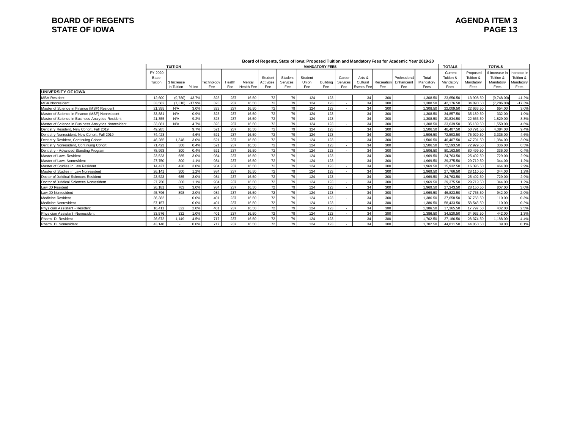### **BOARD OF REGENTS**<br> **BOARD OF REGENTS**<br> **BOARD OF IOWA**<br>
PAGE 13 **STATE OF IOWA**

|                                                     |                 | <b>TUITION</b>            |          | <u>soura or negomo, otate or long. I roposea i altion ana manateli y reco for Aouachilo Tear Loro Lo</u><br><b>MANDATORY FEES</b> |               |                      |                   |                 |              |                 |                 |                        |                   |                 |                   | <b>TOTALS</b><br><b>TOTALS</b> |                       |                          |                          |
|-----------------------------------------------------|-----------------|---------------------------|----------|-----------------------------------------------------------------------------------------------------------------------------------|---------------|----------------------|-------------------|-----------------|--------------|-----------------|-----------------|------------------------|-------------------|-----------------|-------------------|--------------------------------|-----------------------|--------------------------|--------------------------|
|                                                     | FY 2020<br>Base |                           |          |                                                                                                                                   |               |                      | Student           | Student         | Student      |                 | Career          | Arts &                 |                   | Professiona     | Total             | Current<br>Tuition &           | Proposed<br>Tuition & | \$ Increase<br>Tuition & | Increase In<br>Tuition & |
|                                                     | Tuition         | \$ Increase<br>in Tuition | $%$ Inc  | Technology<br>Fee                                                                                                                 | Health<br>Fee | Mental<br>Health Fee | Activities<br>Fee | Services<br>Fee | Union<br>Fee | Building<br>Fee | Services<br>Fee | Cultural<br>Events Fee | Recreation<br>Fee | Enhancem<br>Fee | Mandatory<br>Fees | Mandatory<br>Fees              | Mandatory<br>Fees     | Mandatory<br>Fees        | Mandatory<br>Fees        |
| <b>IUNIVERSITY OF IOWA</b>                          |                 |                           |          |                                                                                                                                   |               |                      |                   |                 |              |                 |                 |                        |                   |                 |                   |                                |                       |                          |                          |
| <b>MBA Resident</b>                                 | 12,600          | (9.780)                   | $-43.7%$ | 323                                                                                                                               | 237           | 16.50                | 72                | 79              | 124          | 123             |                 | 34                     | 300               |                 | 1.308.50          | 23.656.50                      | 13.908.50             | (9.748.00)               | $-41.2%$                 |
| <b>MBA Nonresident</b>                              | 33.582          | (7.318)                   | $-17.9%$ | 323                                                                                                                               | 237           | 16.50                | 72                | 79              | 124          | 123             |                 | 34                     | 300               |                 | 1.308.50          | 42.176.50                      | 34.890.50             | (7.286.00)               | $-17.3%$                 |
| Master of Science in Finance (MSF) Resident         | 21,355          | N/A                       | 3.0%     | 323                                                                                                                               | 237           | 16.50                | 72                | 79              | 124          | 123             |                 | 34                     | 300               |                 | 1.308.50          | 22.009.50                      | 22.663.50             | 654.00                   | 3.0%                     |
| Master of Science in Finance (MSF) Nonresident      | 33,881          | N/A                       | 0.9%     | 323                                                                                                                               | 237           | 16.50                | 72                | 79              | 124          | 123             |                 | 34                     | 300               |                 | 1,308.50          | 34.857.50                      | 35.189.50             | 332.00                   | 1.0%                     |
| Master of Science in Business Analytics Resident    | 21.355          | N/A                       | 9.2%     | 323                                                                                                                               | 237           | 16.50                | 72                | 79              | 124          | 123             |                 | 34                     | 300               |                 | 1.308.50          | 20.834.50                      | 22.663.50             | .829.00                  | 8.8%                     |
| Master of Science in Business Analytics Nonresident | 33.881          | N/A                       | 4.7%     | 323                                                                                                                               | 237           | 16.50                | 72                | 79              | 124          | 123             |                 | 34                     | 300               |                 | 1.308.50          | 33.639.50                      | 35.189.50             | .550.00                  | 4.6%                     |
| Dentistry Resident, New Cohort, Fall 2019           | 49.285          |                           | 9.7%     | 521                                                                                                                               | 237           | 16.50                | 72                | 79              | 124          | 123             |                 | 34                     | 300               |                 | 1.506.50          | 46.407.50                      | 50.791.50             | 4.384.00                 | 9.4%                     |
| Dentistry Nonresident, New Cohort, Fall 2019        | 74.423          |                           | 4.6%     | 521                                                                                                                               | 237           | 16.50                | 72                | 79              | 124          | 123             |                 | 34                     | 300               |                 | 1.506.50          | 72.593.50                      | 75.929.50             | 3.336.00                 | 4.6%                     |
| Dentistry Resident, Continuing Cohort               | 46.285          | 1.348                     | 3.0%     | 521                                                                                                                               | 237           | 16.50                | 72                | 79              | 124          | 123             |                 | 34                     | 300               |                 | 1.506.50          | 46.407.50                      | 47.791.50             | .384.00                  | 3.0%                     |
| Dentistry Nonresident, Continuing Cohort            | 71.423          | 300                       | 0.4%     | 521                                                                                                                               | 237           | 16.50                | 72                | 79              | 124          | 123             |                 | 34                     | 300               |                 | 1.506.50          | 72.593.50                      | 72.929.50             | 336.00                   | 0.5%                     |
| Dentistry - Advanced Standing Program               | 78,993          | 300                       | 0.4%     | 521                                                                                                                               | 237           | 16.50                | 72                | 79              | 124          | 123             |                 | 34                     | 300               |                 | 1.506.50          | 80.163.50                      | 80.499.50             | 336.00                   | 0.4%                     |
| Master of Laws Resident                             | 23,523          | 685                       | 3.0%     | 984                                                                                                                               | 237           | 16.50                | 72                | 79              | 124          | 123             |                 | 34                     | 300               |                 | 1.969.50          | 24,763.50                      | 25,492.50             | 729.00                   | 2.9%                     |
| Master of Laws Nonresident                          | 27,750          | 300                       | 1.1%     | 984                                                                                                                               | 237           | 16.50                | 72                | 79              | 124          | 123             |                 | 34                     | 300               |                 | 1.969.50          | 29.375.50                      | 29.719.50             | 344.00                   | 1.2%                     |
| Master of Studies in Law Resident                   | 14.427          | 420                       | 3.0%     | 984                                                                                                                               | 237           | 16.50                | 72                | 79              | 124          | 123             |                 | 34                     | 300               |                 | 1.969.50          | 15.932.50                      | 16.396.50             | 464.00                   | 2.9%                     |
| Master of Studies in Law Nonresident                | 26.141          | 300                       | 1.2%     | 984                                                                                                                               | 237           | 16.50                | 72                | 79              | 124          | 123             |                 | 34                     | 300               |                 | 1.969.50          | 27.766.50                      | 28.110.50             | 344.00                   | 1.2%                     |
| Doctor of Juridical Sciences Resident               | 23,523          | 685                       | 3.0%     | 984                                                                                                                               | 237           | 16.50                | 72                | 79              | 124          | 123             |                 | 34                     | 300               |                 | 1.969.50          | 24,763.50                      | 25.492.50             | 729.00                   | 2.9%                     |
| Doctor of Juridical Sciences Nonresident            | 27,750          | 300                       | 1.1%     | 984                                                                                                                               | 237           | 16.50                | 72                | 79              | 124          | 123             |                 | 34                     | 300               |                 | 1.969.50          | 29.375.50                      | 29.719.50             | 344.00                   | 1.2%                     |
| Law JD Resident                                     | 26.181          | 763                       | 3.0%     | 984                                                                                                                               | 237           | 16.50                | 72                | 79              | 124          | 123             |                 | 34                     | 300               |                 | 1,969.50          | 27.343.50                      | 28.150.50             | 807.00                   | 3.0%                     |
| Law JD Nonresident                                  | 45.796          | 898                       | 2.0%     | 984                                                                                                                               | 237           | 16.50                | 72                | 79              | 124          | 123             |                 | 34                     | 300               |                 | 1.969.50          | 46.823.50                      | 47.765.50             | 942.00                   | 2.0%                     |
| <b>Medicine Resident</b>                            | 36,382          |                           | 0.0%     | 401                                                                                                                               | 237           | 16.50                | 72                | 79              | 124          | 123             |                 | 34                     | 300               |                 | 1.386.50          | 37.658.50                      | 37.768.50             | 110.00                   | 0.3%                     |
| Medicine Nonresident                                | 57.157          |                           | 0.0%     | 401                                                                                                                               | 237           | 16.50                | 72                | 79              | 124          | 123             |                 | 34                     | 300               |                 | 1.386.50          | 58.433.50                      | 58.543.50             | 110.00                   | 0.2%                     |
| Physician Assistant - Resident                      | 16.411          | 322                       | 2.0%     | 401                                                                                                                               | 237           | 16.50                | 72                | 79              | 124          | 123             |                 | 34                     | 300               |                 | 1.386.50          | 17.365.50                      | 17,797.50             | 432.00                   | 2.5%                     |
| Physician Assistant -Nonresident                    | 33.576          | 332                       | 1.0%     | 401                                                                                                                               | 237           | 16.50                | 72                | 79              | 124          | 123             |                 | 34                     | 300               |                 | 1,386.50          | 34.520.50                      | 34.962.50             | 442.00                   | 1.3%                     |
| Pharm, D. Resident                                  | 26.672          | 1.149                     | 4.5%     | 717                                                                                                                               | 237           | 16.50                | 72                | 79              | 124          | 123             |                 | 34                     | 300               |                 | 1.702.50          | 27.186.50                      | 28.374.50             | .188.00                  | 4.4%                     |
| Pharm, D. Nonresident                               | 43.148          |                           | 0.0%     | 717                                                                                                                               | 237           | 16.50                | 72                | 79              | 124          | 123             |                 | 34                     | 300               |                 | 1.702.50          | 44.811.50                      | 44.850.50             | 39.00                    | 0.1%                     |

#### **Board of Regents, State of Iowa: Proposed Tuition and Mandatory Fees for Academic Year 2019-20**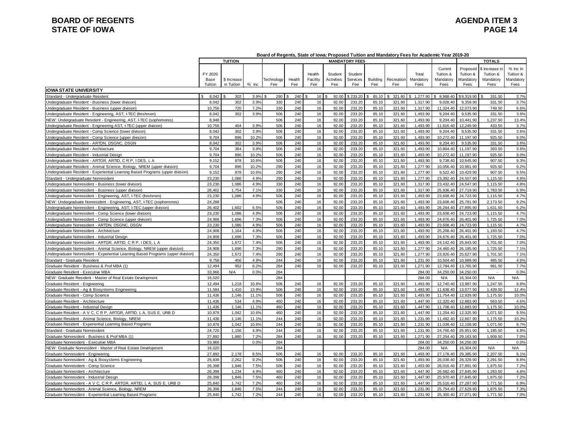# **BOARD OF REGENTS**<br> **BOARD OF REGENTS**<br> **BOARD OF IOWA**<br>
PAGE 14 **STATE OF IOWA**

#### **Board of Regents, State of Iowa: Proposed Tuition and Mandatory Fees for Academic Year 2019-20**

|                                                                                   |                 | TUITION     |         |            |        |                    |                       | <b>MANDATORY FEES</b> |          |            |                    |                                   |                                    | <b>TOTALS</b>                            |                                    |
|-----------------------------------------------------------------------------------|-----------------|-------------|---------|------------|--------|--------------------|-----------------------|-----------------------|----------|------------|--------------------|-----------------------------------|------------------------------------|------------------------------------------|------------------------------------|
|                                                                                   | FY 2020<br>Base | \$ Increase |         | Technology | Health | Health<br>Facility | Student<br>Activities | Student<br>Services   | Building | Recreation | Total<br>Mandatory | Current<br>Tuition &<br>Mandatory | Proposed<br>Tuition &<br>Mandatory | \$ Increase ir<br>Tuition &<br>Mandatory | % Inc In<br>Tuition &<br>Mandatory |
| <b>IOWA STATE UNIVERSITY</b>                                                      | Tuition         | in Tuition  | $%$ Inc | Fee        | Fee    | Fee                | Fee                   | Fee                   | Fee      | Fee        | Fees               | Fees                              | Fees                               | Fees                                     | <b>Fees</b>                        |
| Standard - Undergraduate Resident                                                 | 8,042<br>\$.    | 302         | 3.9%    | 290        | 240    | 16                 | 92.00                 | \$233.20              | 85.10    | 321.60     | 1,277.90<br>S.     | \$8,988.40                        | \$9,319.90                         | 331.50                                   | 3.7%                               |
| Undergraduate Resident - Business (lower division)                                | 8.042           | 302         | 3.9%    | 330        | 240    | 16                 | 92.00                 | 233.20                | 85.10    | 321.60     | 1.317.90           | 9.028.40                          | 9.359.90                           | 331.50                                   | 3.7%                               |
| Undergraduate Resident - Business (upper division)                                | 10,756          | 720         | 7.2%    | 330        | 240    | 16                 | 92.00                 | 233.20                | 85.10    | 321.60     | 1,317.90           | 11.324.40                         | 12.073.90                          | 749.50                                   | 6.6%                               |
| Undergraduate Resident - Engineering, AST, I-TEC (freshmen)                       | 8,042           | 302         | 3.9%    | 506        | 240    | 16                 | 92.00                 | 233.20                | 85.10    | 321.60     | 1,493.90           | 9,204.40                          | 9,535.90                           | 331.50                                   | 3.6%                               |
| NEW: Undergraduate Resident - Engineering, AST, I-TEC (sophomores)                | 8,948           |             |         | 506        | 240    | 16                 | 92.00                 | 233.20                | 85.10    | 321.60     | 1,493.90           | 9,204.40                          | 10,441.90                          | 1,237.50                                 | 13.4%                              |
| Undergraduate Resident - Engineering AST, I-TEC (upper division)                  | 10,756          | 404         | 3.9%    | 506        | 240    | 16                 | 92.00                 | 233.20                | 85.10    | 321.60     | 1,493.90           | 11,816.40                         | 12,249.90                          | 433.50                                   | 3.7%                               |
| Undergraduate Resident - Comp Science (lower division)                            | 8,042           | 302         | 3.9%    | 506        | 240    | 16                 | 92.00                 | 233.20                | 85.10    | 321.60     | 1,493.90           | 9,204.40                          | 9,535.90                           | 331.50                                   | 3.6%                               |
| Undergraduate Resident - Comp Science (upper division)                            | 9.704           | 896         | 10.2%   | 506        | 240    | 16                 | 92.00                 | 233.20                | 85.10    | 321.60     | 1.493.90           | 10.272.40                         | 11.197.90                          | 925.50                                   | 9.0%                               |
| Undergraduate Resident - ARTDN, DSGNC, DSGN                                       | 8.042           | 302         | 3.9%    | 506        | 240    | 16                 | 92.00                 | 233.20                | 85.10    | 321.60     | 1.493.90           | 9,204.40                          | 9,535.90                           | 331.50                                   | 3.6%                               |
| Undergraduate Resident - Architecture                                             | 9,704           | 364         | 3.9%    | 506        | 240    | 16                 | 92.00                 | 233.20                | 85.10    | 321.60     | 1,493.90           | 10,804.40                         | 11,197.90                          | 393.50                                   | 3.6%                               |
| Undergraduate Resident - Industrial Design                                        | 9,704           | 896         | 10.2%   | 506        | 240    | 16                 | 92.00                 | 233.20                | 85.10    | 321.60     | 1,493.90           | 10,272.40                         | 11,197.90                          | 925.50                                   | 9.0%                               |
| Undergraduate Resident - ARTGR, ARTID, C R P, I DES, L A                          | 9,152           | 878         | 10.6%   | 506        | 240    | 16                 | 92.00                 | 233.20                | 85.10    | 321.60     | 1,493.90           | 9,738.40                          | 10,645.90                          | 907.50                                   | 9.3%                               |
| Undergraduate Resident - Animal Science, Biology, NREM (upper division)           | 9,704           | 896         | 10.2%   | 290        | 240    | 16                 | 92.00                 | 233.20                | 85.10    | 321.60     | 1,277.90           | 10,056.40                         | 10,981.90                          | 925.50                                   | 9.2%                               |
| Indergraduate Resident - Experiential Learning Based Programs (upper division)    | 9,152           | 878         | 10.6%   | 290        | 240    | 16                 | 92.00                 | 233.20                | 85.10    | 321.60     | 1,277.90           | 9,522.40                          | 10,429.90                          | 907.50                                   | 9.5%                               |
| Standard - Undergraduate Nonresident                                              | 23,230          | 1,086       | 4.9%    | 290        | 240    | 16                 | 92.00                 | 233.20                | 85.10    | 321.60     | 1,277.90           | 23,392.40                         | 24,507.90                          | 1,115.50                                 | 4.8%                               |
| Undergraduate Nonresident - Business (lower division)                             | 23,230          | 1,086       | 4.9%    | 330        | 240    | 16                 | 92.00                 | 233.20                | 85.10    | 321.60     | 1,317.90           | 23,432.40                         | 24,547.90                          | 1,115.50                                 | 4.8%                               |
| Undergraduate Nonresident - Business (upper division)                             | 26,402          | 1,754       | 7.1%    | 330        | 240    | 16                 | 92.00                 | 233.20                | 85.10    | 321.60     | 1,317.90           | 25,936.40                         | 27,719.90                          | 1,783.50                                 | 6.9%                               |
| Indergraduate Nonresident - Engineering, AST, I-TEC (freshmen)                    | 23,230          | 1,086       | 4.9%    | 506        | 240    | 16                 | 92.00                 | 233.20                | 85.10    | 321.60     | 1,493.90           | 23,608.40                         | 24,723.90                          | 1,115.50                                 | 4.7%                               |
| NEW: Undergraduate Nonresident - Engineering, AST, I-TEC (sophomores)             | 24,288          |             |         | 506        | 240    | 16                 | 92.00                 | 233.20                | 85.10    | 321.60     | 1.493.90           | 23,608.40                         | 25.781.90                          | 2.173.50                                 | 9.2%                               |
| Undergraduate Nonresident - Engineering, AST, I-TEC (upper division)              | 26,402          | 1,602       | 6.5%    | 506        | 240    | 16                 | 92.00                 | 233.20                | 85.10    | 321.60     | 1,493.90           | 26,264.40                         | 27,895.90                          | 1,631.50                                 | 6.2%                               |
| Undergraduate Nonresident - Comp Science (lower division)                         | 23,230          | 1,086       | 4.9%    | 506        | 240    | 16                 | 92.00                 | 233.20                | 85.10    | 321.60     | 1,493.90           | 23,608.40                         | 24,723.90                          | 1,115.50                                 | 4.7%                               |
| Undergraduate Nonresident - Comp Science (upper division)                         | 24,908          | 1,696       | 7.3%    | 506        | 240    | 16                 | 92.00                 | 233.20                | 85.10    | 321.60     | 1,493.90           | 24,676.40                         | 26,401.90                          | 1,725.50                                 | 7.0%                               |
| Indergraduate Nonresident - ARTDN, DSGNC, DSGN                                    | 23,230          | 1,086       | 4.9%    | 506        | 240    | 16                 | 92.00                 | 233.20                | 85.10    | 321.60     | 1,493.90           | 23,608.40                         | 24,723.90                          | 1,115.50                                 | 4.7%                               |
| Indergraduate Nonresident - Architecture                                          | 24,908          | 1,164       | 4.9%    | 506        | 240    | 16                 | 92.00                 | 233.20                | 85.10    | 321.60     | 1,493.90           | 25,208.40                         | 26,401.90                          | 1,193.50                                 | 4.7%                               |
| Indergraduate Nonresident - Industrial Design                                     | 24.908          | 1,696       | 7.3%    | 506        | 240    | 16                 | 92.00                 | 233.20                | 85.10    | 321.60     | 1,493.90           | 24,676.40                         | 26,401.90                          | 1,725.50                                 | 7.0%                               |
| Undergraduate Nonresident - ARTGR, ARTID, C R P, I DES, L A                       | 24,350          | 1,672       | 7.4%    | 506        | 240    | 16                 | 92.00                 | 233.20                | 85.10    | 321.60     | 1,493.90           | 24,142.40                         | 25,843.90                          | 1,701.50                                 | 7.0%                               |
| Undergraduate Nonresident - Animal Science, Biology, NREM (upper division)        | 24,908          | 1,696       | 7.3%    | 290        | 240    | 16                 | 92.00                 | 233.20                | 85.10    | 321.60     | 1,277.90           | 24,460.40                         | 26,185.90                          | 1,725.50                                 | 7.1%                               |
| Undergraduate Nonresident - Experiential Learning Based Programs (upper division) | 24,350          | 1,672       | 7.4%    | 290        | 240    | 16                 | 92.00                 | 233.20                | 85.10    | 321.60     | 1,277.90           | 23,926.40                         | 25,627.90                          | 1,701.50                                 | 7.1%                               |
| Standard - Graduate Resident                                                      | 9,758           | 456         | 4.9%    | 244        | 240    | 16                 | 92.00                 | 233.20                | 85.10    | 321.60     | 1,231.90           | 10,504.40                         | 10,989.90                          | 485.50                                   | 4.6%                               |
| Graduate Resident - Business & Prof MBA (1)                                       | 12,494          | 952         | 8.2%    | 284        | 240    | 16                 | 92.00                 | 233.20                | 85.10    | 321.60     | 1,271.90           | 12,784.40                         | 13,765.90                          | 981.50                                   | 7.7%                               |
| Graduate Resident - Executive MBA                                                 | 33,966          | N/A         | 0.0%    | 284        |        |                    |                       |                       |          |            | 284.00             | 34,250.00                         | 34,250.00                          | $\sim$                                   | 0.0%                               |
| NEW: Graduate Resident - Master of Real Estate Development                        | 16,020          |             |         | 284        |        |                    |                       |                       |          |            | 284.00             | N/A                               | 16,304.00                          | N/A                                      | N/A                                |
| Graduate Resident - Engineering                                                   | 12,494          | 1,218       | 10.8%   | 506        | 240    | 16                 | 92.00                 | 233.20                | 85.10    | 321.60     | 1,493.90           | 12,740.40                         | 13,987.90                          | 1,247.50                                 | 9.8%                               |
| Graduate Resident - Ag & Biosystems Engineering                                   | 11,584          | 1,410       | 13.9%   | 506        | 240    | 16                 | 92.00                 | 233.20                | 85.10    | 321.60     | 1,493.90           | 11,638.40                         | 13,077.90                          | 1,439.50                                 | 12.4%                              |
| Graduate Resident - Comp Science                                                  | 11.436          | 1,146       | 11.1%   | 506        | 240    | 16                 | 92.00                 | 233.20                | 85.10    | 321.60     | 1.493.90           | 11.754.40                         | 12.929.90                          | 1.175.50                                 | 10.0%                              |
| Graduate Resident - Architecture                                                  | 11.436          | 534         | 4.9%    | 460        | 240    | 16                 | 92.00                 | 233.20                | 85.10    | 321.60     | 1.447.90           | 12,320.40                         | 12.883.90                          | 563.50                                   | 4.6%                               |
| Graduate Resident - Industrial Design                                             | 11.436          | 1.146       | 11.1%   | 460        | 240    | 16                 | 92.00                 | 233.20                | 85.10    | 321.60     | 1,447.90           | 11,708.40                         | 12,883.90                          | 1,175.50                                 | 10.0%                              |
| Graduate Resident - A V C, C R P, ARTGR, ARTID, L A, SUS E, URB D                 | 10,878          | 1,042       | 10.6%   | 460        | 240    | 16                 | 92.00                 | 233.20                | 85.10    | 321.60     | 1,447.90           | 11,254.40                         | 12,325.90                          | 1.071.50                                 | 9.5%                               |
| Graduate Resident - Animal Science, Biology, NREM                                 | 11.436          | 1.146       | 11.1%   | 244        | 240    | 16                 | 92.00                 | 233.20                | 85.10    | 321.60     | 1.231.90           | 11.492.40                         | 12.667.90                          | 1.175.50                                 | 10.2%                              |
| Graduate Resident - Experiential Learning Based Programs                          | 10.878          | 1.042       | 10.6%   | 244        | 240    | 16                 | 92.00                 | 233.20                | 85.10    | 321.60     | 1.231.90           | 11.038.40                         | 12.109.90                          | 1.071.50                                 | 9.7%                               |
| Standard - Graduate Nonresident                                                   | 24.720          | 1,156       | 4.9%    | 244        | 240    | 16                 | 92.00                 | 233.20                | 85.10    | 321.60     | 1,231.90           | 24,766.40                         | 25,951.90                          | 1,185.50                                 | 4.8%                               |
| Graduate Nonresident - Business & Prof MBA (1)                                    | 27,892          | 1,880       | 7.2%    | 284        | 240    | 16                 | 92.00                 | 233.20                | 85.10    | 321.60     | 1,271.90           | 27,254.40                         | 29,163.90                          | 1.909.50                                 | 7.0%                               |
| Graduate Nonresident - Executive MBA                                              | 33,966          |             | 0.0%    | 284        |        |                    |                       |                       |          |            | 284.00             | 34,250.00                         | 34,250.00                          | $\sim$                                   | 0.0%                               |
| NEW: Graduate Nonresident - Master of Real Estate Development                     | 16,020          |             |         | 284        |        |                    |                       |                       |          |            | 284.00             | N/A                               | 16.304.00                          | N/A                                      | N/A                                |
| Graduate Nonresident - Engineering                                                | 27.892          | 2.178       | 8.5%    | 506        | 240    | 16                 | 92.00                 | 233.20                | 85.10    | 321.60     | 1.493.90           | 27.178.40                         | 29.385.90                          | 2.207.50                                 | 8.1%                               |
| Graduate Nonresident - Ag & Biosystems Engineering                                | 26.836          | 2.262       | 9.2%    | 506        | 240    | 16                 | 92.00                 | 233.20                | 85.10    | 321.60     | 1.493.90           | 26.038.40                         | 28.329.90                          | 2.291.50                                 | 8.8%                               |
| Graduate Nonresident - Comp Science                                               | 26,398          | 1.846       | 7.5%    | 506        | 240    | 16                 | 92.00                 | 233.20                | 85.10    | 321.60     | 1,493.90           | 26,016.40                         | 27,891.90                          | 1,875.50                                 | 7.2%                               |
| Graduate Nonresident - Architecture                                               | 26,398          | 1,234       | 4.9%    | 460        | 240    | 16                 | 92.00                 | 233.20                | 85.10    | 321.60     | 1,447.90           | 26,582.40                         | 27,845.90                          | 1,263.50                                 | 4.8%                               |
| Graduate Nonresident - Industrial Design                                          | 26,398          | 1,846       | 7.5%    | 460        | 240    | 16                 | 92.00                 | 233.20                | 85.10    | 321.60     | 1,447.90           | 25,970.40                         | 27,845.90                          | 1,875.50                                 | 7.2%                               |
| Graduate Nonresident - A V C, C R P, ARTGR, ARTID, L A, SUS E, URB D              | 25.840          | 1,742       | 7.2%    | 460        | 240    | 16                 | 92.00                 | 233.20                | 85.10    | 321.60     | 1.447.90           | 25.516.40                         | 27,287.90                          | 1.771.50                                 | 6.9%                               |
| Graduate Nonresident - Animal Science, Biology, NREM                              | 26.398          | 1.846       | 7.5%    | 244        | 240    | 16                 | 92.00                 | 233.20                | 85.10    | 321.60     | 1.231.90           | 25.754.40                         | 27.629.90                          | 1.875.50                                 | 7.3%                               |
| Graduate Nonresident - Experiential Learning Based Programs                       | 25.840          | 1.742       | 7.2%    | 244        | 240    | 16                 | 92.00                 | 233.20                | 85.10    | 321.60     | 1.231.90           | 25,300.40                         | 27.071.90                          | 1.771.50                                 | 7.0%                               |